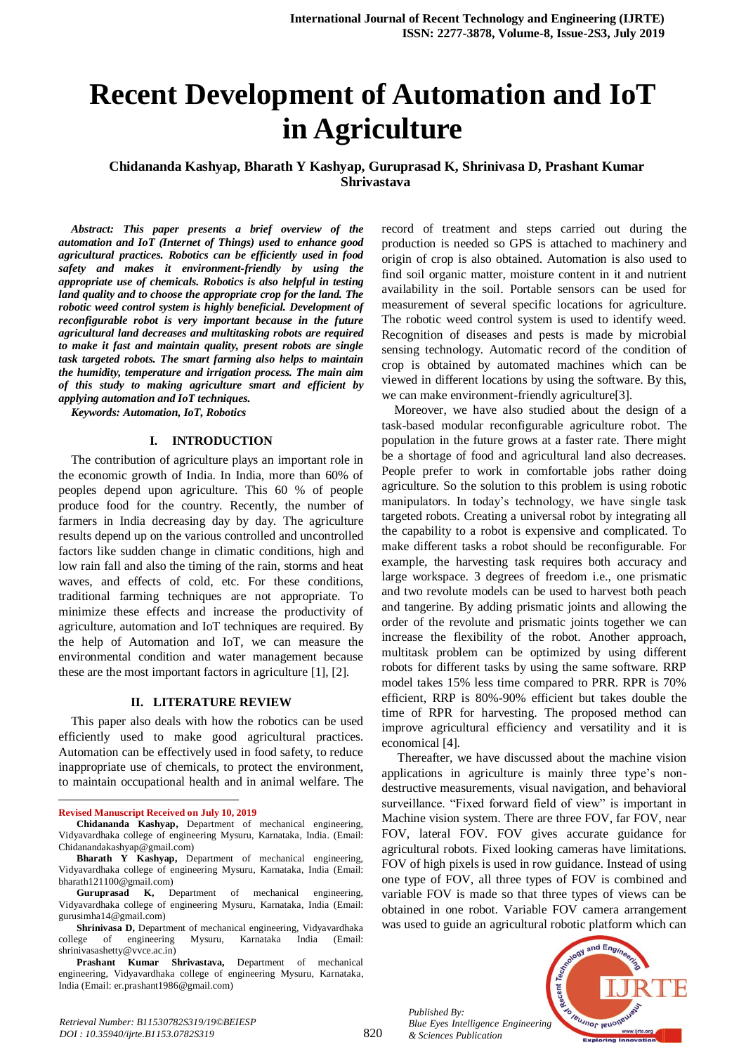# **Recent Development of Automation and IoT in Agriculture**

**Chidananda Kashyap, Bharath Y Kashyap, Guruprasad K, Shrinivasa D, Prashant Kumar Shrivastava**

*Abstract: This paper presents a brief overview of the automation and IoT (Internet of Things) used to enhance good agricultural practices. Robotics can be efficiently used in food safety and makes it environment-friendly by using the appropriate use of chemicals. Robotics is also helpful in testing land quality and to choose the appropriate crop for the land. The robotic weed control system is highly beneficial. Development of reconfigurable robot is very important because in the future agricultural land decreases and multitasking robots are required to make it fast and maintain quality, present robots are single task targeted robots. The smart farming also helps to maintain the humidity, temperature and irrigation process. The main aim of this study to making agriculture smart and efficient by applying automation and IoT techniques.*

*Keywords: Automation, IoT, Robotics*

#### **I. INTRODUCTION**

The contribution of agriculture plays an important role in the economic growth of India. In India, more than 60% of peoples depend upon agriculture. This 60 % of people produce food for the country. Recently, the number of farmers in India decreasing day by day. The agriculture results depend up on the various controlled and uncontrolled factors like sudden change in climatic conditions, high and low rain fall and also the timing of the rain, storms and heat waves, and effects of cold, etc. For these conditions, traditional farming techniques are not appropriate. To minimize these effects and increase the productivity of agriculture, automation and IoT techniques are required. By the help of Automation and IoT, we can measure the environmental condition and water management because these are the most important factors in agriculture [1], [2].

#### **II. LITERATURE REVIEW**

This paper also deals with how the robotics can be used efficiently used to make good agricultural practices. Automation can be effectively used in food safety, to reduce inappropriate use of chemicals, to protect the environment, to maintain occupational health and in animal welfare. The

 $\overline{a}$ 

record of treatment and steps carried out during the production is needed so GPS is attached to machinery and origin of crop is also obtained. Automation is also used to find soil organic matter, moisture content in it and nutrient availability in the soil. Portable sensors can be used for measurement of several specific locations for agriculture. The robotic weed control system is used to identify weed. Recognition of diseases and pests is made by microbial sensing technology. Automatic record of the condition of crop is obtained by automated machines which can be viewed in different locations by using the software. By this, we can make environment-friendly agriculture[3].

Moreover, we have also studied about the design of a task-based modular reconfigurable agriculture robot. The population in the future grows at a faster rate. There might be a shortage of food and agricultural land also decreases. People prefer to work in comfortable jobs rather doing agriculture. So the solution to this problem is using robotic manipulators. In today's technology, we have single task targeted robots. Creating a universal robot by integrating all the capability to a robot is expensive and complicated. To make different tasks a robot should be reconfigurable. For example, the harvesting task requires both accuracy and large workspace. 3 degrees of freedom i.e., one prismatic and two revolute models can be used to harvest both peach and tangerine. By adding prismatic joints and allowing the order of the revolute and prismatic joints together we can increase the flexibility of the robot. Another approach, multitask problem can be optimized by using different robots for different tasks by using the same software. RRP model takes 15% less time compared to PRR. RPR is 70% efficient, RRP is 80%-90% efficient but takes double the time of RPR for harvesting. The proposed method can improve agricultural efficiency and versatility and it is economical [4].

Thereafter, we have discussed about the machine vision applications in agriculture is mainly three type's nondestructive measurements, visual navigation, and behavioral surveillance. "Fixed forward field of view" is important in Machine vision system. There are three FOV, far FOV, near FOV, lateral FOV. FOV gives accurate guidance for agricultural robots. Fixed looking cameras have limitations. FOV of high pixels is used in row guidance. Instead of using one type of FOV, all three types of FOV is combined and variable FOV is made so that three types of views can be obtained in one robot. Variable FOV camera arrangement was used to guide an agricultural robotic platform which can

*Published By: Blue Eyes Intelligence Engineering & Sciences Publication* 



**Revised Manuscript Received on July 10, 2019**

**Chidananda Kashyap,** Department of mechanical engineering, Vidyavardhaka college of engineering Mysuru, Karnataka, India. (Email: Chidanandakashyap@gmail.com)

**Bharath Y Kashyap,** Department of mechanical engineering, Vidyavardhaka college of engineering Mysuru, Karnataka, India (Email: bharath121100@gmail.com)

**Guruprasad K,** Department of mechanical engineering, Vidyavardhaka college of engineering Mysuru, Karnataka, India (Email: gurusimha14@gmail.com)

**Shrinivasa D,** Department of mechanical engineering, Vidyavardhaka ege of engineering Mysuru, Karnataka India (Email: college of engineering Mysuru, Karnataka India (Email: shrinivasashetty@vvce.ac.in)

**Prashant Kumar Shrivastava,** Department of mechanical engineering, Vidyavardhaka college of engineering Mysuru, Karnataka, India (Email: er.prashant1986@gmail.com)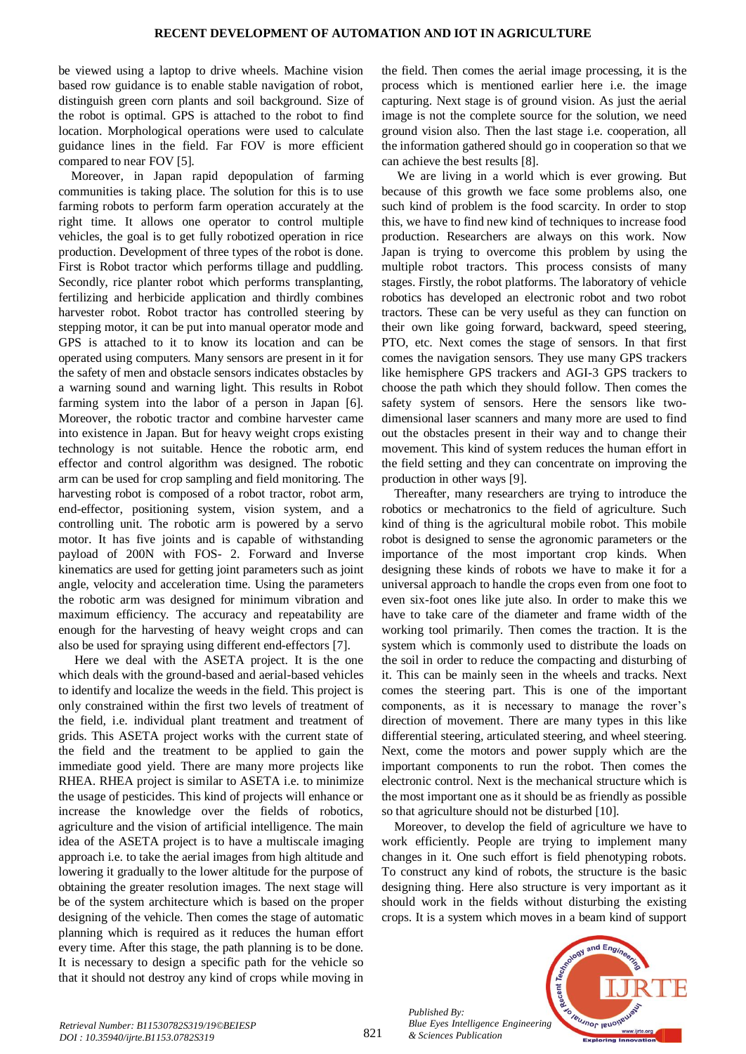be viewed using a laptop to drive wheels. Machine vision based row guidance is to enable stable navigation of robot, distinguish green corn plants and soil background. Size of the robot is optimal. GPS is attached to the robot to find location. Morphological operations were used to calculate guidance lines in the field. Far FOV is more efficient compared to near FOV [5].

Moreover, in Japan rapid depopulation of farming communities is taking place. The solution for this is to use farming robots to perform farm operation accurately at the right time. It allows one operator to control multiple vehicles, the goal is to get fully robotized operation in rice production. Development of three types of the robot is done. First is Robot tractor which performs tillage and puddling. Secondly, rice planter robot which performs transplanting, fertilizing and herbicide application and thirdly combines harvester robot. Robot tractor has controlled steering by stepping motor, it can be put into manual operator mode and GPS is attached to it to know its location and can be operated using computers. Many sensors are present in it for the safety of men and obstacle sensors indicates obstacles by a warning sound and warning light. This results in Robot farming system into the labor of a person in Japan [6]. Moreover, the robotic tractor and combine harvester came into existence in Japan. But for heavy weight crops existing technology is not suitable. Hence the robotic arm, end effector and control algorithm was designed. The robotic arm can be used for crop sampling and field monitoring. The harvesting robot is composed of a robot tractor, robot arm, end-effector, positioning system, vision system, and a controlling unit. The robotic arm is powered by a servo motor. It has five joints and is capable of withstanding payload of 200N with FOS- 2. Forward and Inverse kinematics are used for getting joint parameters such as joint angle, velocity and acceleration time. Using the parameters the robotic arm was designed for minimum vibration and maximum efficiency. The accuracy and repeatability are enough for the harvesting of heavy weight crops and can also be used for spraying using different end-effectors [7].

Here we deal with the ASETA project. It is the one which deals with the ground-based and aerial-based vehicles to identify and localize the weeds in the field. This project is only constrained within the first two levels of treatment of the field, i.e. individual plant treatment and treatment of grids. This ASETA project works with the current state of the field and the treatment to be applied to gain the immediate good yield. There are many more projects like RHEA. RHEA project is similar to ASETA i.e. to minimize the usage of pesticides. This kind of projects will enhance or increase the knowledge over the fields of robotics, agriculture and the vision of artificial intelligence. The main idea of the ASETA project is to have a multiscale imaging approach i.e. to take the aerial images from high altitude and lowering it gradually to the lower altitude for the purpose of obtaining the greater resolution images. The next stage will be of the system architecture which is based on the proper designing of the vehicle. Then comes the stage of automatic planning which is required as it reduces the human effort every time. After this stage, the path planning is to be done. It is necessary to design a specific path for the vehicle so that it should not destroy any kind of crops while moving in

the field. Then comes the aerial image processing, it is the process which is mentioned earlier here i.e. the image capturing. Next stage is of ground vision. As just the aerial image is not the complete source for the solution, we need ground vision also. Then the last stage i.e. cooperation, all the information gathered should go in cooperation so that we can achieve the best results [8].

We are living in a world which is ever growing. But because of this growth we face some problems also, one such kind of problem is the food scarcity. In order to stop this, we have to find new kind of techniques to increase food production. Researchers are always on this work. Now Japan is trying to overcome this problem by using the multiple robot tractors. This process consists of many stages. Firstly, the robot platforms. The laboratory of vehicle robotics has developed an electronic robot and two robot tractors. These can be very useful as they can function on their own like going forward, backward, speed steering, PTO, etc. Next comes the stage of sensors. In that first comes the navigation sensors. They use many GPS trackers like hemisphere GPS trackers and AGI-3 GPS trackers to choose the path which they should follow. Then comes the safety system of sensors. Here the sensors like twodimensional laser scanners and many more are used to find out the obstacles present in their way and to change their movement. This kind of system reduces the human effort in the field setting and they can concentrate on improving the production in other ways [9].

Thereafter, many researchers are trying to introduce the robotics or mechatronics to the field of agriculture. Such kind of thing is the agricultural mobile robot. This mobile robot is designed to sense the agronomic parameters or the importance of the most important crop kinds. When designing these kinds of robots we have to make it for a universal approach to handle the crops even from one foot to even six-foot ones like jute also. In order to make this we have to take care of the diameter and frame width of the working tool primarily. Then comes the traction. It is the system which is commonly used to distribute the loads on the soil in order to reduce the compacting and disturbing of it. This can be mainly seen in the wheels and tracks. Next comes the steering part. This is one of the important components, as it is necessary to manage the rover's direction of movement. There are many types in this like differential steering, articulated steering, and wheel steering. Next, come the motors and power supply which are the important components to run the robot. Then comes the electronic control. Next is the mechanical structure which is the most important one as it should be as friendly as possible so that agriculture should not be disturbed [10].

Moreover, to develop the field of agriculture we have to work efficiently. People are trying to implement many changes in it. One such effort is field phenotyping robots. To construct any kind of robots, the structure is the basic designing thing. Here also structure is very important as it should work in the fields without disturbing the existing crops. It is a system which moves in a beam kind of support



*Retrieval Number: B11530782S319/19©BEIESP DOI : 10.35940/ijrte.B1153.0782S319*

*Published By:*

*& Sciences Publication*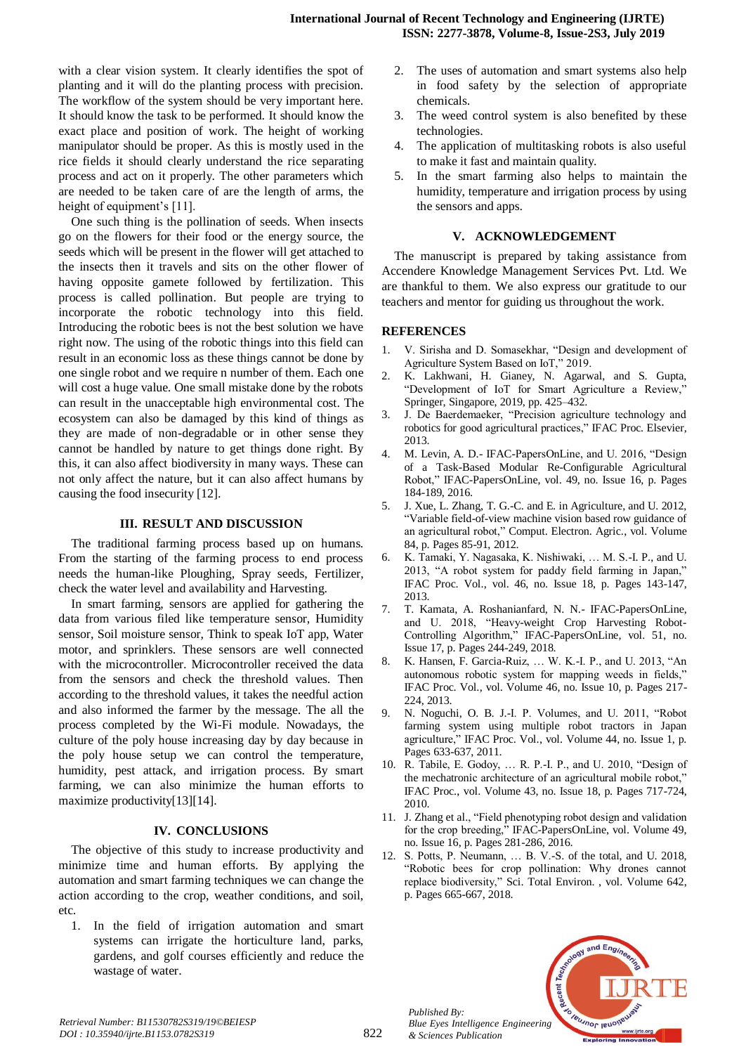with a clear vision system. It clearly identifies the spot of planting and it will do the planting process with precision. The workflow of the system should be very important here. It should know the task to be performed. It should know the exact place and position of work. The height of working manipulator should be proper. As this is mostly used in the rice fields it should clearly understand the rice separating process and act on it properly. The other parameters which are needed to be taken care of are the length of arms, the height of equipment's [11].

One such thing is the pollination of seeds. When insects go on the flowers for their food or the energy source, the seeds which will be present in the flower will get attached to the insects then it travels and sits on the other flower of having opposite gamete followed by fertilization. This process is called pollination. But people are trying to incorporate the robotic technology into this field. Introducing the robotic bees is not the best solution we have right now. The using of the robotic things into this field can result in an economic loss as these things cannot be done by one single robot and we require n number of them. Each one will cost a huge value. One small mistake done by the robots can result in the unacceptable high environmental cost. The ecosystem can also be damaged by this kind of things as they are made of non-degradable or in other sense they cannot be handled by nature to get things done right. By this, it can also affect biodiversity in many ways. These can not only affect the nature, but it can also affect humans by causing the food insecurity [12].

### **III. RESULT AND DISCUSSION**

The traditional farming process based up on humans. From the starting of the farming process to end process needs the human-like Ploughing, Spray seeds, Fertilizer, check the water level and availability and Harvesting.

In smart farming, sensors are applied for gathering the data from various filed like temperature sensor, Humidity sensor, Soil moisture sensor, Think to speak IoT app, Water motor, and sprinklers. These sensors are well connected with the microcontroller. Microcontroller received the data from the sensors and check the threshold values. Then according to the threshold values, it takes the needful action and also informed the farmer by the message. The all the process completed by the Wi-Fi module. Nowadays, the culture of the poly house increasing day by day because in the poly house setup we can control the temperature, humidity, pest attack, and irrigation process. By smart farming, we can also minimize the human efforts to maximize productivity[13][14].

## **IV. CONCLUSIONS**

The objective of this study to increase productivity and minimize time and human efforts. By applying the automation and smart farming techniques we can change the action according to the crop, weather conditions, and soil, etc.

1. In the field of irrigation automation and smart systems can irrigate the horticulture land, parks, gardens, and golf courses efficiently and reduce the wastage of water.

- 2. The uses of automation and smart systems also help in food safety by the selection of appropriate chemicals.
- 3. The weed control system is also benefited by these technologies.
- 4. The application of multitasking robots is also useful to make it fast and maintain quality.
- 5. In the smart farming also helps to maintain the humidity, temperature and irrigation process by using the sensors and apps.

#### **V. ACKNOWLEDGEMENT**

The manuscript is prepared by taking assistance from Accendere Knowledge Management Services Pvt. Ltd. We are thankful to them. We also express our gratitude to our teachers and mentor for guiding us throughout the work.

#### **REFERENCES**

- 1. V. Sirisha and D. Somasekhar, "Design and development of Agriculture System Based on IoT," 2019.
- 2. K. Lakhwani, H. Gianey, N. Agarwal, and S. Gupta, "Development of IoT for Smart Agriculture a Review," Springer, Singapore, 2019, pp. 425–432.
- 3. J. De Baerdemaeker, "Precision agriculture technology and robotics for good agricultural practices," IFAC Proc. Elsevier, 2013.
- 4. M. Levin, A. D.- IFAC-PapersOnLine, and U. 2016, "Design of a Task-Based Modular Re-Configurable Agricultural Robot," IFAC-PapersOnLine, vol. 49, no. Issue 16, p. Pages 184-189, 2016.
- 5. J. Xue, L. Zhang, T. G.-C. and E. in Agriculture, and U. 2012, "Variable field-of-view machine vision based row guidance of an agricultural robot," Comput. Electron. Agric., vol. Volume 84, p. Pages 85-91, 2012.
- 6. K. Tamaki, Y. Nagasaka, K. Nishiwaki, … M. S.-I. P., and U. 2013, "A robot system for paddy field farming in Japan," IFAC Proc. Vol., vol. 46, no. Issue 18, p. Pages 143-147, 2013.
- 7. T. Kamata, A. Roshanianfard, N. N.- IFAC-PapersOnLine, and U. 2018, "Heavy-weight Crop Harvesting Robot-Controlling Algorithm," IFAC-PapersOnLine, vol. 51, no. Issue 17, p. Pages 244-249, 2018.
- 8. K. Hansen, F. Garcia-Ruiz, … W. K.-I. P., and U. 2013, "An autonomous robotic system for mapping weeds in fields," IFAC Proc. Vol., vol. Volume 46, no. Issue 10, p. Pages 217- 224, 2013.
- 9. N. Noguchi, O. B. J.-I. P. Volumes, and U. 2011, "Robot farming system using multiple robot tractors in Japan agriculture," IFAC Proc. Vol., vol. Volume 44, no. Issue 1, p. Pages 633-637, 2011.
- 10. R. Tabile, E. Godoy, … R. P.-I. P., and U. 2010, "Design of the mechatronic architecture of an agricultural mobile robot," IFAC Proc., vol. Volume 43, no. Issue 18, p. Pages 717-724, 2010.
- 11. J. Zhang et al., "Field phenotyping robot design and validation for the crop breeding," IFAC-PapersOnLine, vol. Volume 49, no. Issue 16, p. Pages 281-286, 2016.
- 12. S. Potts, P. Neumann, … B. V.-S. of the total, and U. 2018, "Robotic bees for crop pollination: Why drones cannot replace biodiversity," Sci. Total Environ. , vol. Volume 642, p. Pages 665-667, 2018.



*Published By:*

*& Sciences Publication*